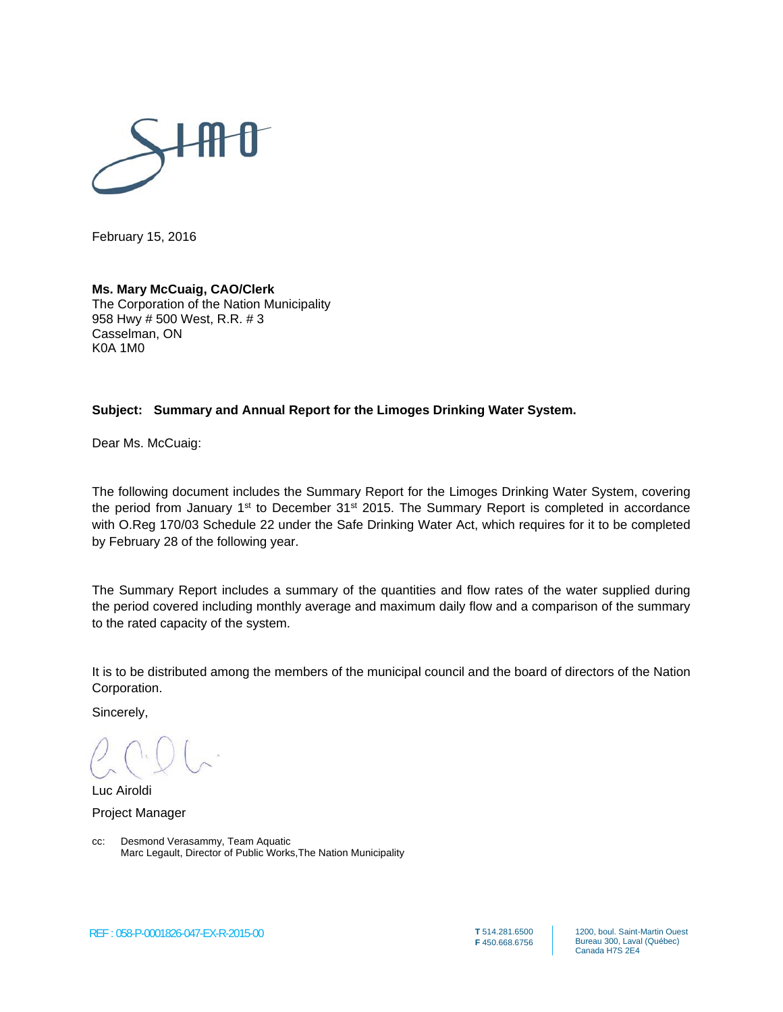

February 15, 2016

#### **Ms. Mary McCuaig, CAO/Clerk**

The Corporation of the Nation Municipality 958 Hwy # 500 West, R.R. # 3 Casselman, ON K0A 1M0

#### **Subject: Summary and Annual Report for the Limoges Drinking Water System.**

Dear Ms. McCuaig:

The following document includes the Summary Report for the Limoges Drinking Water System, covering the period from January  $1<sup>st</sup>$  to December 31<sup>st</sup> 2015. The Summary Report is completed in accordance with O.Reg 170/03 Schedule 22 under the Safe Drinking Water Act, which requires for it to be completed by February 28 of the following year.

The Summary Report includes a summary of the quantities and flow rates of the water supplied during the period covered including monthly average and maximum daily flow and a comparison of the summary to the rated capacity of the system.

It is to be distributed among the members of the municipal council and the board of directors of the Nation Corporation.

Sincerely,

Luc Airoldi

Project Manager

cc: Desmond Verasammy, Team Aquatic Marc Legault, Director of Public Works,The Nation Municipality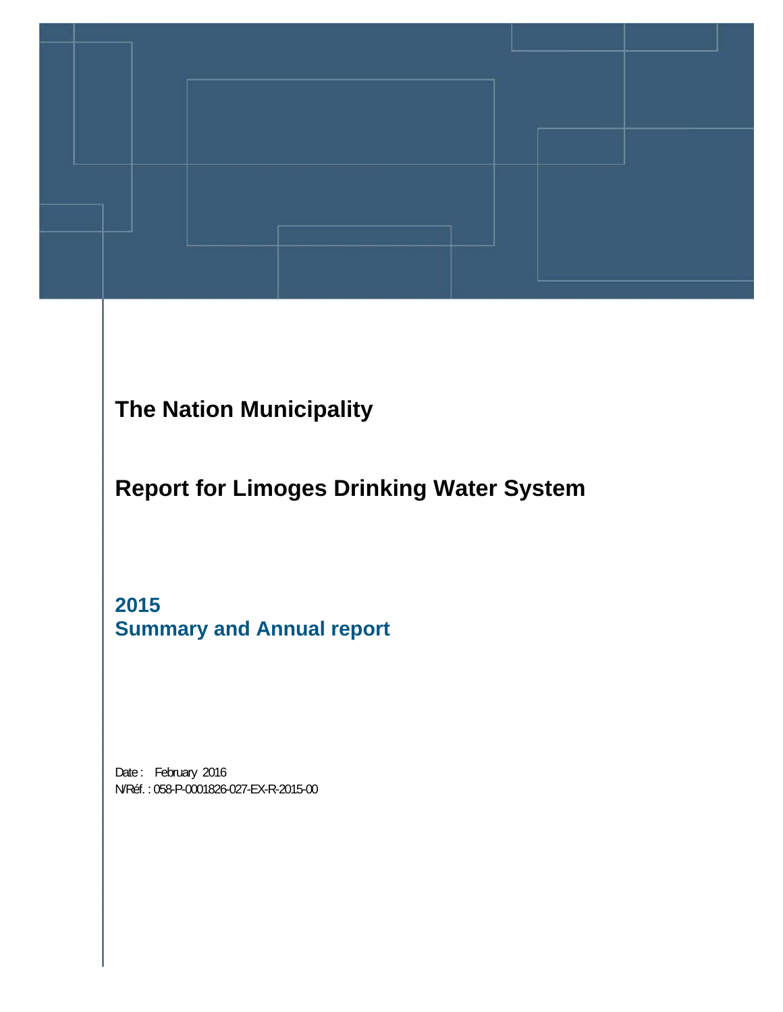

## **The Nation Municipality**

**Report for Limoges Drinking Water System** 

**2015 Summary and Annual report** 

Date: February 2016 N/Réf. : 058-P-0001826-027-EX-R-2015-00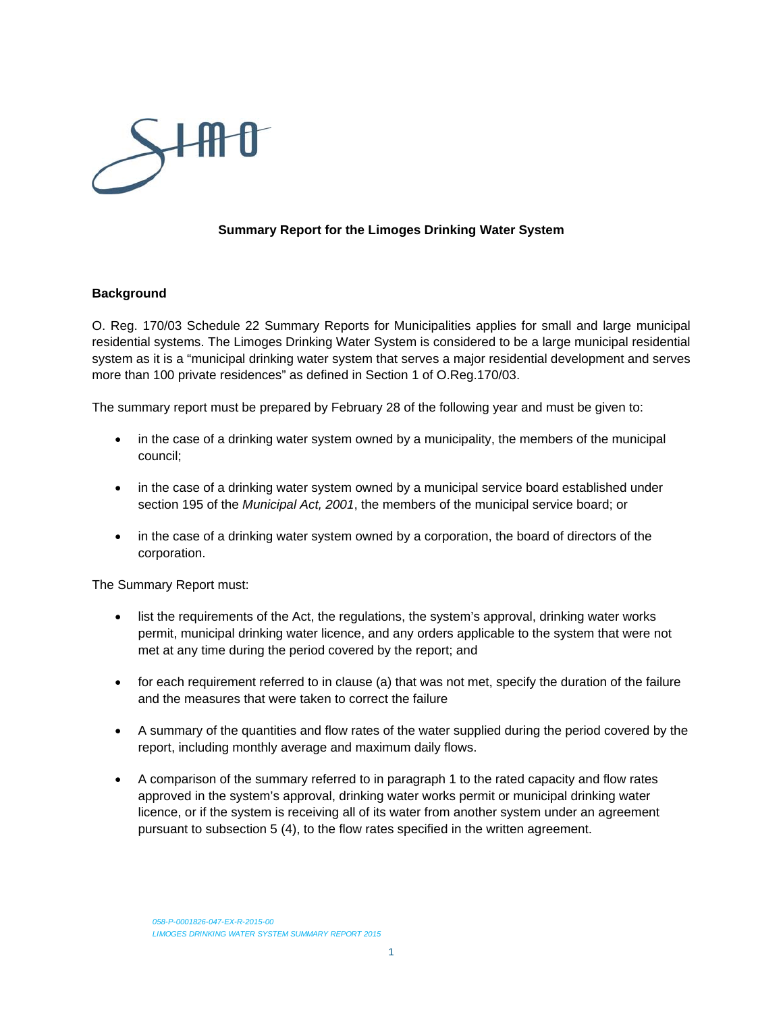

#### **Summary Report for the Limoges Drinking Water System**

#### **Background**

O. Reg. 170/03 Schedule 22 Summary Reports for Municipalities applies for small and large municipal residential systems. The Limoges Drinking Water System is considered to be a large municipal residential system as it is a "municipal drinking water system that serves a major residential development and serves more than 100 private residences" as defined in Section 1 of O.Reg.170/03.

The summary report must be prepared by February 28 of the following year and must be given to:

- in the case of a drinking water system owned by a municipality, the members of the municipal council;
- in the case of a drinking water system owned by a municipal service board established under section 195 of the *Municipal Act, 2001*, the members of the municipal service board; or
- in the case of a drinking water system owned by a corporation, the board of directors of the corporation.

The Summary Report must:

- list the requirements of the Act, the regulations, the system's approval, drinking water works permit, municipal drinking water licence, and any orders applicable to the system that were not met at any time during the period covered by the report; and
- for each requirement referred to in clause (a) that was not met, specify the duration of the failure and the measures that were taken to correct the failure
- A summary of the quantities and flow rates of the water supplied during the period covered by the report, including monthly average and maximum daily flows.
- A comparison of the summary referred to in paragraph 1 to the rated capacity and flow rates approved in the system's approval, drinking water works permit or municipal drinking water licence, or if the system is receiving all of its water from another system under an agreement pursuant to subsection 5 (4), to the flow rates specified in the written agreement.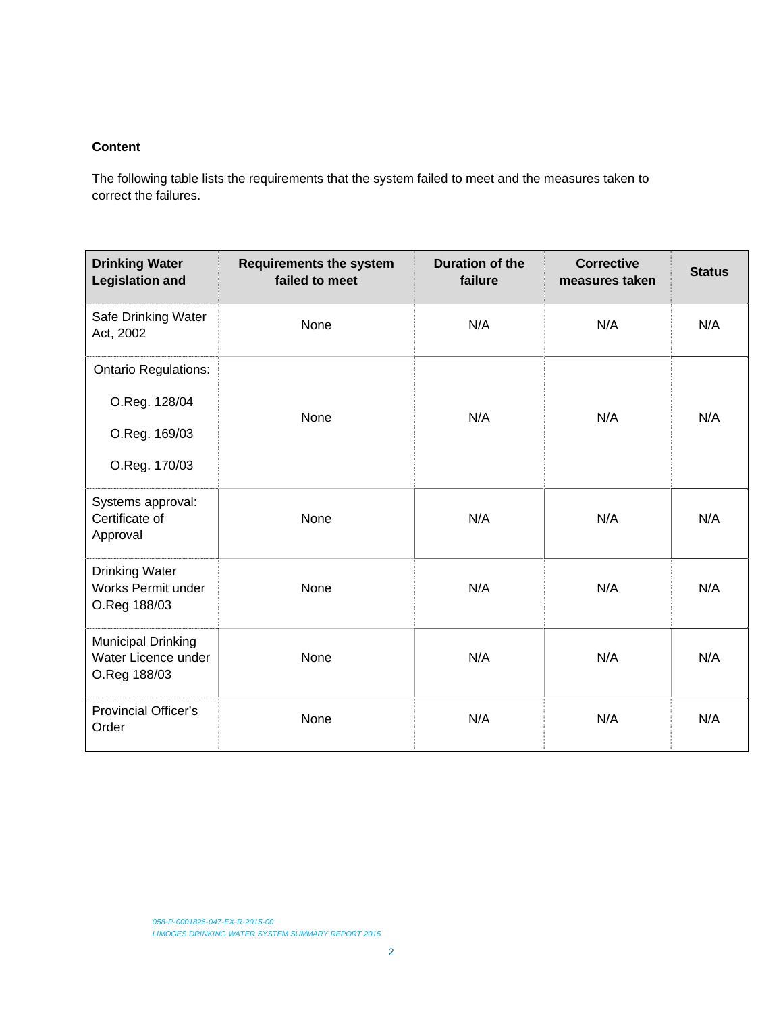#### **Content**

The following table lists the requirements that the system failed to meet and the measures taken to correct the failures.

| <b>Drinking Water</b><br><b>Legislation and</b>             | <b>Requirements the system</b><br>failed to meet | <b>Duration of the</b><br>failure | <b>Corrective</b><br>measures taken | <b>Status</b> |  |
|-------------------------------------------------------------|--------------------------------------------------|-----------------------------------|-------------------------------------|---------------|--|
| Safe Drinking Water<br>Act, 2002                            | None                                             | N/A                               | N/A                                 | N/A           |  |
| <b>Ontario Regulations:</b>                                 |                                                  |                                   |                                     |               |  |
| O.Reg. 128/04                                               |                                                  |                                   |                                     | N/A           |  |
| O.Reg. 169/03                                               | <b>None</b>                                      | N/A                               | N/A                                 |               |  |
| O.Reg. 170/03                                               |                                                  |                                   |                                     |               |  |
| Systems approval:<br>Certificate of<br>Approval             | None                                             | N/A                               | N/A                                 | N/A           |  |
| <b>Drinking Water</b><br>Works Permit under<br>O.Reg 188/03 | None                                             | N/A                               | N/A                                 | N/A           |  |
| Municipal Drinking<br>Water Licence under<br>O.Reg 188/03   | None                                             | N/A                               | N/A                                 | N/A           |  |
| <b>Provincial Officer's</b><br>Order                        | None                                             | N/A                               | N/A                                 | N/A           |  |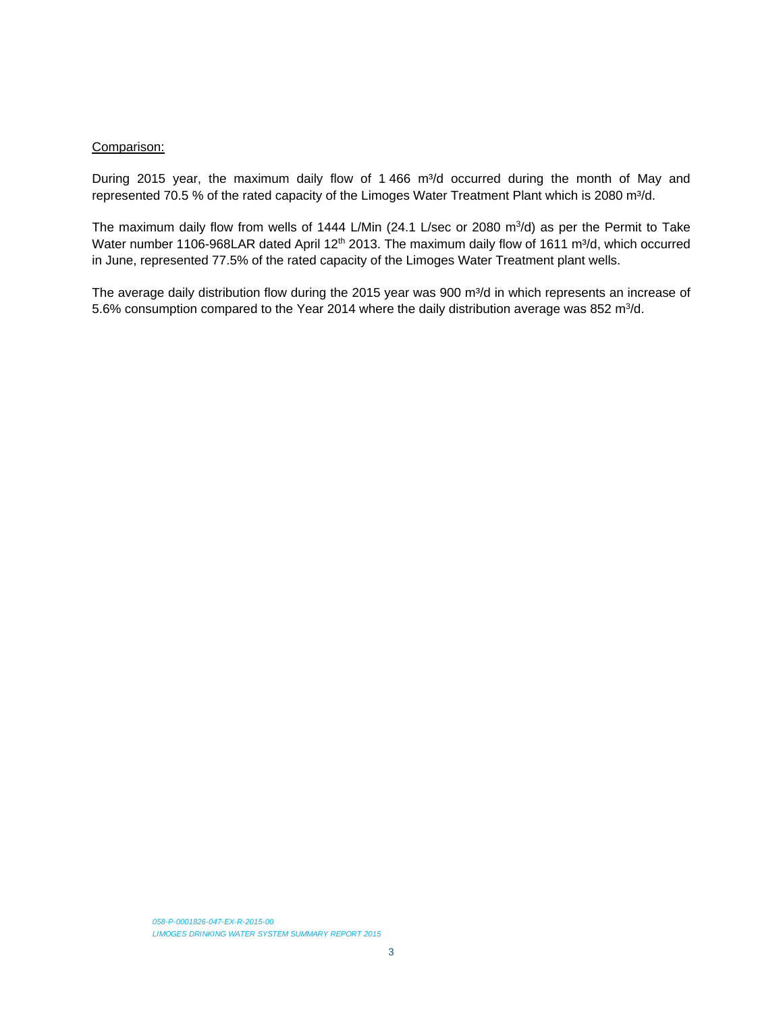#### Comparison:

During 2015 year, the maximum daily flow of 1 466 m<sup>3</sup>/d occurred during the month of May and represented 70.5 % of the rated capacity of the Limoges Water Treatment Plant which is 2080 m<sup>3</sup>/d.

The maximum daily flow from wells of 1444 L/Min (24.1 L/sec or 2080  $m^3/d$ ) as per the Permit to Take Water number 1106-968LAR dated April 12<sup>th</sup> 2013. The maximum daily flow of 1611 m<sup>3</sup>/d, which occurred in June, represented 77.5% of the rated capacity of the Limoges Water Treatment plant wells.

The average daily distribution flow during the 2015 year was 900 m<sup>3</sup>/d in which represents an increase of 5.6% consumption compared to the Year 2014 where the daily distribution average was 852 m<sup>3</sup>/d.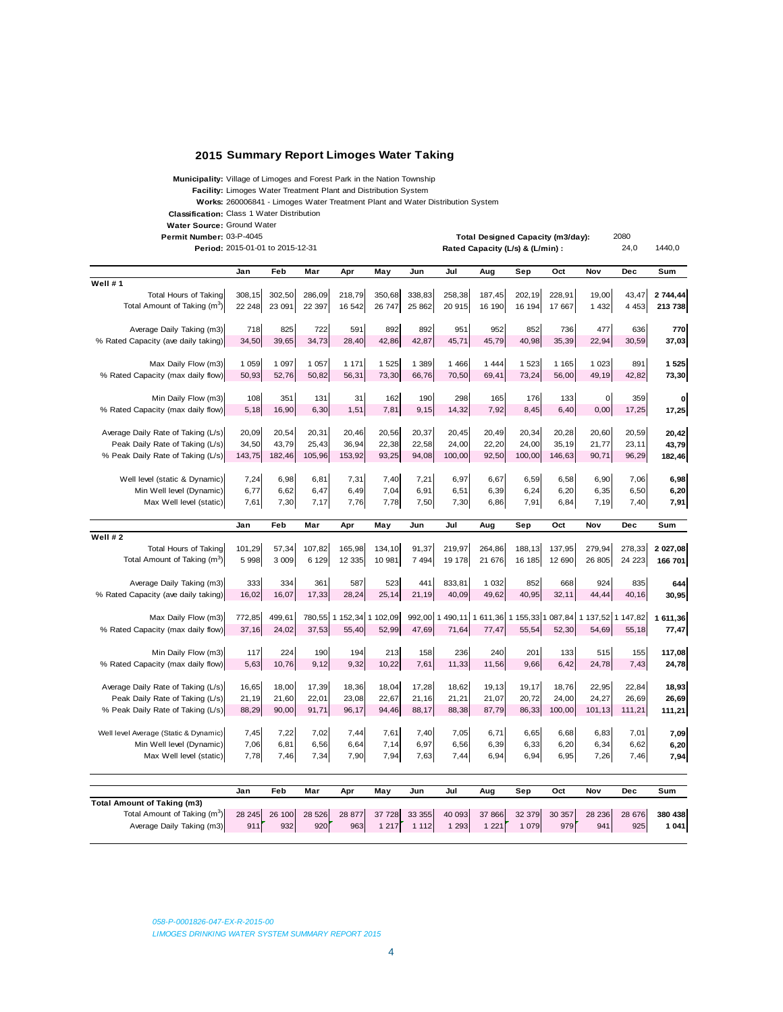#### **2015 Summary Report Limoges Water Taking**

**Municipality:** Village of Limoges and Forest Park in the Nation Township

**Facility:** Limoges Water Treatment Plant and Distribution System

**Works:** 260006841 - Limoges Water Treatment Plant and Water Distribution System

Classification: Class 1 Water Distribution

**Water Source:** Ground Water

**Permit Number:** 2080 03-P-4045 **Total Designed Capacity (m3/day):**

|                                          | Period: 2015-01-01 to 2015-12-31 |         |         |                          | Rated Capacity (L/s) & (L/min) : |         |         |         |         | 24,0   | 1440,0                                                       |         |              |
|------------------------------------------|----------------------------------|---------|---------|--------------------------|----------------------------------|---------|---------|---------|---------|--------|--------------------------------------------------------------|---------|--------------|
|                                          | Jan                              | Feb     | Mar     | Apr                      | May                              | Jun     | Jul     | Aug     | Sep     | Oct    | Nov                                                          | Dec     | Sum          |
| Well #1                                  |                                  |         |         |                          |                                  |         |         |         |         |        |                                                              |         |              |
| Total Hours of Taking                    | 308.15                           | 302,50  | 286.09  | 218,79                   | 350,68                           | 338,83  | 258,38  | 187,45  | 202.19  | 228.91 | 19,00                                                        | 43,47   | 2 744,44     |
| Total Amount of Taking (m <sup>3</sup> ) | 22 248                           | 23 091  | 22 397  | 16 542                   | 26 747                           | 25 862  | 20 915  | 16 190  | 16 194  | 17 667 | 1 4 3 2                                                      | 4 4 5 3 | 213 738      |
|                                          |                                  |         |         |                          |                                  |         |         |         |         |        |                                                              |         |              |
| Average Daily Taking (m3)                | 718                              | 825     | 722     | 591                      | 892                              | 892     | 951     | 952     | 852     | 736    | 477                                                          | 636     | 770          |
| % Rated Capacity (ave daily taking)      | 34,50                            | 39,65   | 34,73   | 28,40                    | 42,86                            | 42,87   | 45,71   | 45,79   | 40,98   | 35,39  | 22,94                                                        | 30,59   | 37,03        |
|                                          |                                  |         |         |                          |                                  |         |         |         |         |        |                                                              |         |              |
| Max Daily Flow (m3)                      | 1 0 5 9                          | 1 0 9 7 | 1 0 5 7 | 1 1 7 1                  | 1 525                            | 1 389   | 1 4 6 6 | 1 4 4 4 | 1 5 2 3 | 1 1 65 | 1 0 2 3                                                      | 891     | 1 5 2 5      |
| % Rated Capacity (max daily flow)        | 50,93                            | 52,76   | 50,82   | 56,31                    | 73,30                            | 66,76   | 70,50   | 69,41   | 73,24   | 56,00  | 49,19                                                        | 42,82   | 73,30        |
|                                          |                                  |         |         |                          |                                  |         |         |         |         |        |                                                              |         |              |
| Min Daily Flow (m3)                      | 108                              | 351     | 131     | 31                       | 162                              | 190     | 298     | 165     | 176     | 133    | $\overline{0}$                                               | 359     | $\mathbf{o}$ |
| % Rated Capacity (max daily flow)        | 5,18                             | 16,90   | 6,30    | 1,51                     | 7,81                             | 9,15    | 14,32   | 7,92    | 8,45    | 6,40   | 0,00                                                         | 17,25   | 17,25        |
|                                          |                                  |         |         |                          |                                  |         |         |         |         |        |                                                              |         |              |
| Average Daily Rate of Taking (L/s)       | 20,09                            | 20,54   | 20,31   | 20,46                    | 20,56                            | 20,37   | 20.45   | 20,49   | 20,34   | 20,28  | 20,60                                                        | 20,59   | 20,42        |
| Peak Daily Rate of Taking (L/s)          | 34.50                            | 43.79   | 25.43   | 36.94                    | 22,38                            | 22.58   | 24.00   | 22,20   | 24.00   | 35,19  | 21,77                                                        | 23,11   | 43,79        |
| % Peak Daily Rate of Taking (L/s)        | 143,75                           | 182,46  | 105,96  | 153,92                   | 93,25                            | 94,08   | 100,00  | 92,50   | 100,00  | 146,63 | 90,71                                                        | 96,29   | 182,46       |
|                                          |                                  |         |         |                          |                                  |         |         |         |         |        |                                                              |         |              |
| Well level (static & Dynamic)            | 7,24                             | 6,98    | 6,81    | 7,31                     | 7,40                             | 7,21    | 6,97    | 6,67    | 6,59    | 6,58   | 6,90                                                         | 7,06    | 6,98         |
| Min Well level (Dynamic)                 | 6,77                             | 6,62    | 6,47    | 6,49                     | 7,04                             | 6,91    | 6,51    | 6,39    | 6,24    | 6,20   | 6,35                                                         | 6,50    | 6,20         |
| Max Well level (static)                  | 7,61                             | 7,30    | 7,17    | 7,76                     | 7,78                             | 7,50    | 7,30    | 6,86    | 7,91    | 6,84   | 7,19                                                         | 7,40    | 7,91         |
|                                          |                                  |         |         |                          |                                  |         |         |         |         |        |                                                              |         |              |
|                                          | Jan                              | Feb     | Mar     | Apr                      | May                              | Jun     | Jul     | Aug     | Sep     | Oct    | Nov                                                          | Dec     | Sum          |
| Well #2                                  |                                  |         |         |                          |                                  |         |         |         |         |        |                                                              |         |              |
| Total Hours of Taking                    | 101,29                           | 57,34   | 107,82  | 165,98                   | 134,10                           | 91,37   | 219,97  | 264,86  | 188,13  | 137,95 | 279,94                                                       | 278,33  | 2 027,08     |
| Total Amount of Taking (m <sup>3</sup> ) | 5 9 9 8                          | 3 009   | 6 1 29  | 12 3 35                  | 10 981                           | 7 4 9 4 | 19 178  | 21 676  | 16 185  | 12 690 | 26 805                                                       | 24 223  | 166 701      |
| Average Daily Taking (m3)                | 333                              | 334     | 361     | 587                      | 523                              | 441     | 833.81  | 1 0 3 2 | 852     | 668    | 924                                                          | 835     |              |
| % Rated Capacity (ave daily taking)      | 16,02                            | 16,07   | 17,33   | 28,24                    | 25, 14                           |         | 40,09   | 49,62   | 40,95   | 32,11  | 44,44                                                        |         | 644          |
|                                          |                                  |         |         |                          |                                  | 21,19   |         |         |         |        |                                                              | 40,16   | 30,95        |
| Max Daily Flow (m3)                      | 772,85                           | 499,61  |         | 780,55 1 152,34 1 102,09 |                                  |         |         |         |         |        | 992,00 1 490,11 1 611,36 1 155,33 1 087,84 1 137,52 1 147,82 |         | 1 611,36     |
| % Rated Capacity (max daily flow)        | 37,16                            | 24,02   | 37,53   | 55,40                    | 52,99                            | 47,69   | 71,64   | 77,47   | 55,54   | 52,30  | 54,69                                                        | 55,18   | 77,47        |
|                                          |                                  |         |         |                          |                                  |         |         |         |         |        |                                                              |         |              |
| Min Daily Flow (m3)                      | 117                              | 224     | 190     | 194                      | 213                              | 158     | 236     | 240     | 201     | 133    | 515                                                          | 155     | 117,08       |
| % Rated Capacity (max daily flow)        | 5,63                             | 10,76   | 9,12    | 9,32                     | 10,22                            | 7,61    | 11,33   | 11,56   | 9,66    | 6,42   | 24,78                                                        | 7,43    | 24,78        |
|                                          |                                  |         |         |                          |                                  |         |         |         |         |        |                                                              |         |              |
| Average Daily Rate of Taking (L/s)       | 16,65                            | 18,00   | 17,39   | 18,36                    | 18,04                            | 17,28   | 18,62   | 19,13   | 19,17   | 18,76  | 22,95                                                        | 22,84   | 18,93        |
| Peak Daily Rate of Taking (L/s)          | 21,19                            | 21,60   | 22,01   | 23,08                    | 22,67                            | 21,16   | 21,21   | 21,07   | 20,72   | 24,00  | 24,27                                                        | 26,69   | 26,69        |
| % Peak Daily Rate of Taking (L/s)        | 88,29                            | 90,00   | 91,71   | 96,17                    | 94,46                            | 88,17   | 88,38   | 87,79   | 86,33   | 100,00 | 101,13                                                       | 111,21  | 111,21       |
|                                          |                                  |         |         |                          |                                  |         |         |         |         |        |                                                              |         |              |
| Well level Average (Static & Dynamic)    | 7,45                             | 7,22    | 7,02    | 7,44                     | 7,61                             | 7,40    | 7,05    | 6,71    | 6,65    | 6,68   | 6,83                                                         | 7,01    | 7,09         |
| Min Well level (Dynamic)                 | 7,06                             | 6,81    | 6,56    | 6,64                     | 7,14                             | 6,97    | 6,56    | 6,39    | 6,33    | 6,20   | 6,34                                                         | 6,62    | 6,20         |
| Max Well level (static)                  | 7,78                             | 7,46    | 7,34    | 7,90                     | 7,94                             | 7,63    | 7,44    | 6,94    | 6,94    | 6,95   | 7,26                                                         | 7,46    | 7,94         |
|                                          |                                  |         |         |                          |                                  |         |         |         |         |        |                                                              |         |              |
|                                          |                                  |         |         |                          |                                  |         |         |         |         |        |                                                              |         |              |
|                                          | Jan                              | Feb     | Mar     | Apr                      | May                              | Jun     | Jul     | Aug     | Sep     | Oct    | Nov                                                          | Dec     | Sum          |
| Total Amount of Taking (m3)              |                                  |         |         |                          |                                  |         |         |         |         |        |                                                              |         |              |

|                                          | Jan | rep           | mar     | Apr | mav                  | Jun | Jul    | Aua    | ခep           | oα  | NOV    | Dec    | อนm     |
|------------------------------------------|-----|---------------|---------|-----|----------------------|-----|--------|--------|---------------|-----|--------|--------|---------|
| Total Amount of Taking (m3)              |     |               |         |     |                      |     |        |        |               |     |        |        |         |
| Total Amount of Taking (m <sup>3</sup> ) |     | 28 245 26 100 | 28 5 26 |     | 28 877 37 728 33 355 |     | 40 093 | 37 866 | 32 379 30 357 |     | 28 236 | 28 676 | 380 438 |
| Average Daily Taking (m3)                | 911 | 932           | 920     | 963 | 217                  | 112 | 293    | 221    | 079           | 979 | 941    | 925    | 1041    |
|                                          |     |               |         |     |                      |     |        |        |               |     |        |        |         |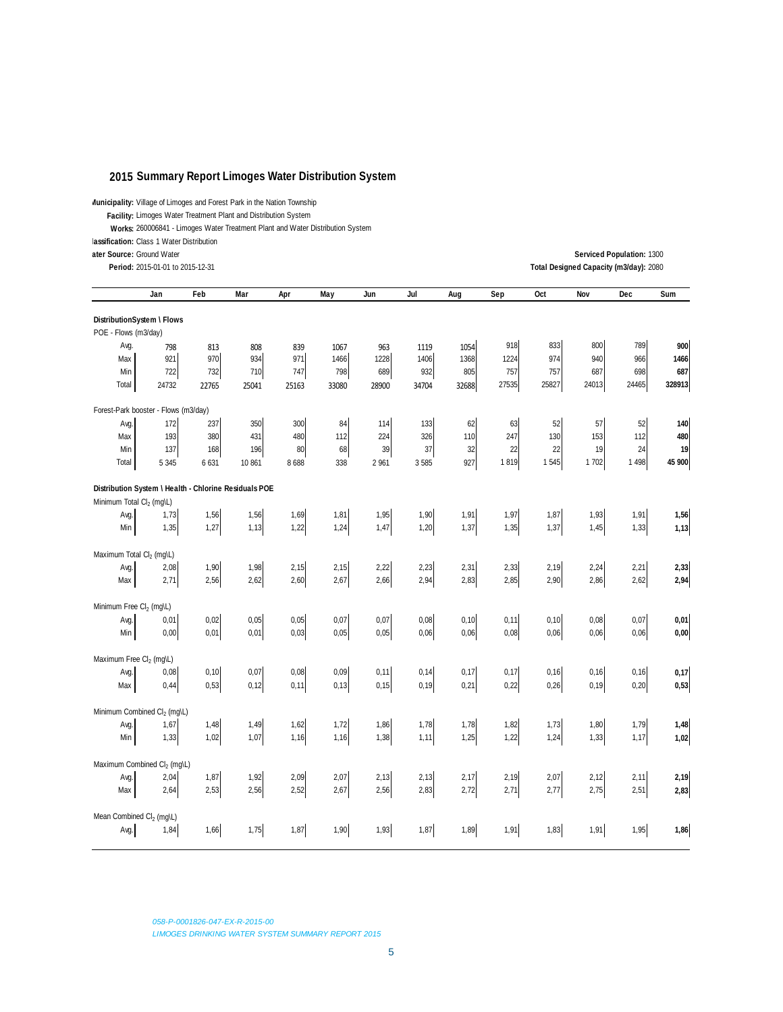#### **2015 Summary Report Limoges Water Distribution System**

**Municipality:** Village of Limoges and Forest Park in the Nation Township

**Facility:** Limoges Water Treatment Plant and Distribution System

**Works:** 260006841 - Limoges Water Treatment Plant and Water Distribution System

**lassification:** Class 1 Water Distribution

**Period:** 2080 2015-01-01 to 2015-12-31 **Total Designed Capacity (m3/day):**

**ater Source:** 1300 Ground Water **Serviced Population:**

|                                                       | Jan              | Feb   | Mar    | Apr   | May   | Jun     | Jul   | Aug   | Sep   | Oct   | Nov   | Dec     | Sum    |
|-------------------------------------------------------|------------------|-------|--------|-------|-------|---------|-------|-------|-------|-------|-------|---------|--------|
| DistributionSystem \ Flows                            |                  |       |        |       |       |         |       |       |       |       |       |         |        |
| POE - Flows (m3/day)                                  |                  |       |        |       |       |         |       |       |       |       |       |         |        |
| Avg.                                                  | 798              | 813   | 808    | 839   | 1067  | 963     | 1119  | 1054  | 918   | 833   | 800   | 789     | 900    |
| Max                                                   | 921              | 970   | 934    | 971   | 1466  | 1228    | 1406  | 1368  | 1224  | 974   | 940   | 966     | 1466   |
| Min                                                   | 722              | 732   | 710    | 747   | 798   | 689     | 932   | 805   | 757   | 757   | 687   | 698     | 687    |
| Total                                                 | 24732            | 22765 | 25041  | 25163 | 33080 | 28900   | 34704 | 32688 | 27535 | 25827 | 24013 | 24465   | 328913 |
| Forest-Park booster                                   | - Flows (m3/day) |       |        |       |       |         |       |       |       |       |       |         |        |
| Avg.                                                  | 172              | 237   | 350    | 300   | 84    | 114     | 133   | 62    | 63    | 52    | 57    | 52      | 140    |
| Max                                                   | 193              | 380   | 431    | 480   | 112   | 224     | 326   | 110   | 247   | 130   | 153   | 112     | 480    |
| Min                                                   | 137              | 168   | 196    | 80    | 68    | 39      | 37    | 32    | 22    | 22    | 19    | 24      | 19     |
| Total                                                 | 5 3 4 5          | 6 631 | 10 861 | 8688  | 338   | 2 9 6 1 | 3585  | 927   | 1819  | 1 545 | 1702  | 1 4 9 8 | 45 900 |
| Distribution System \ Health - Chlorine Residuals POE |                  |       |        |       |       |         |       |       |       |       |       |         |        |
| Minimum Total Cl <sub>2</sub> (mg/L)                  |                  |       |        |       |       |         |       |       |       |       |       |         |        |
| Avg.                                                  | 1,73             | 1,56  | 1,56   | 1,69  | 1,81  | 1,95    | 1,90  | 1,91  | 1,97  | 1,87  | 1,93  | 1,91    | 1,56   |
| Min                                                   | 1,35             | 1,27  | 1,13   | 1,22  | 1,24  | 1,47    | 1,20  | 1,37  | 1,35  | 1,37  | 1,45  | 1,33    | 1,13   |
|                                                       |                  |       |        |       |       |         |       |       |       |       |       |         |        |
| Maximum Total Cl <sub>2</sub> (mg\L)                  |                  |       |        |       |       |         |       |       |       |       |       |         |        |
| Avg.                                                  | 2,08             | 1,90  | 1,98   | 2,15  | 2,15  | 2,22    | 2,23  | 2,31  | 2,33  | 2,19  | 2,24  | 2,21    | 2,33   |
| Max                                                   | 2,71             | 2,56  | 2,62   | 2,60  | 2,67  | 2,66    | 2,94  | 2,83  | 2,85  | 2,90  | 2,86  | 2,62    | 2,94   |
| Minimum Free Cl <sub>2</sub> (mg\L)                   |                  |       |        |       |       |         |       |       |       |       |       |         |        |
| Avg.                                                  | 0,01             | 0,02  | 0,05   | 0,05  | 0,07  | 0,07    | 0,08  | 0, 10 | 0,11  | 0, 10 | 0,08  | 0,07    | 0,01   |
| Min                                                   | 0,00             | 0,01  | 0,01   | 0,03  | 0,05  | 0,05    | 0,06  | 0,06  | 0,08  | 0,06  | 0,06  | 0,06    | 0,00   |
|                                                       |                  |       |        |       |       |         |       |       |       |       |       |         |        |
| Maximum Free Cl <sub>2</sub> (mg\L)                   |                  |       |        |       |       |         |       |       |       |       |       |         |        |
| Avg.                                                  | 0,08             | 0,10  | 0,07   | 0,08  | 0,09  | 0,11    | 0,14  | 0,17  | 0,17  | 0, 16 | 0,16  | 0,16    | 0,17   |
| Max                                                   | 0,44             | 0,53  | 0,12   | 0,11  | 0, 13 | 0,15    | 0, 19 | 0,21  | 0,22  | 0,26  | 0, 19 | 0,20    | 0,53   |
|                                                       |                  |       |        |       |       |         |       |       |       |       |       |         |        |
| Minimum Combined Cl <sub>2</sub> (mg\L)               |                  |       |        |       |       |         |       |       |       |       |       |         |        |
| Avg.                                                  | 1,67             | 1,48  | 1,49   | 1,62  | 1,72  | 1,86    | 1,78  | 1,78  | 1,82  | 1,73  | 1,80  | 1,79    | 1,48   |
| Min                                                   | 1,33             | 1,02  | 1,07   | 1,16  | 1,16  | 1,38    | 1,11  | 1,25  | 1,22  | 1,24  | 1,33  | 1,17    | 1,02   |
| Maximum Combined Cl <sub>2</sub> (mg\L)               |                  |       |        |       |       |         |       |       |       |       |       |         |        |
| Avg.                                                  | 2,04             | 1,87  | 1,92   | 2,09  | 2,07  | 2,13    | 2,13  | 2,17  | 2,19  | 2,07  | 2,12  | 2,11    | 2,19   |
| Max                                                   | 2,64             | 2,53  | 2,56   | 2,52  | 2,67  | 2,56    | 2,83  | 2,72  | 2,71  | 2,77  | 2,75  | 2,51    | 2,83   |
|                                                       |                  |       |        |       |       |         |       |       |       |       |       |         |        |
| Mean Combined Cl <sub>2</sub> (mg\L)                  |                  |       |        |       |       |         |       |       |       |       |       |         |        |
| Avg.                                                  | 1,84             | 1,66  | 1,75   | 1,87  | 1,90  | 1,93    | 1,87  | 1,89  | 1,91  | 1,83  | 1,91  | 1,95    | 1,86   |
|                                                       |                  |       |        |       |       |         |       |       |       |       |       |         |        |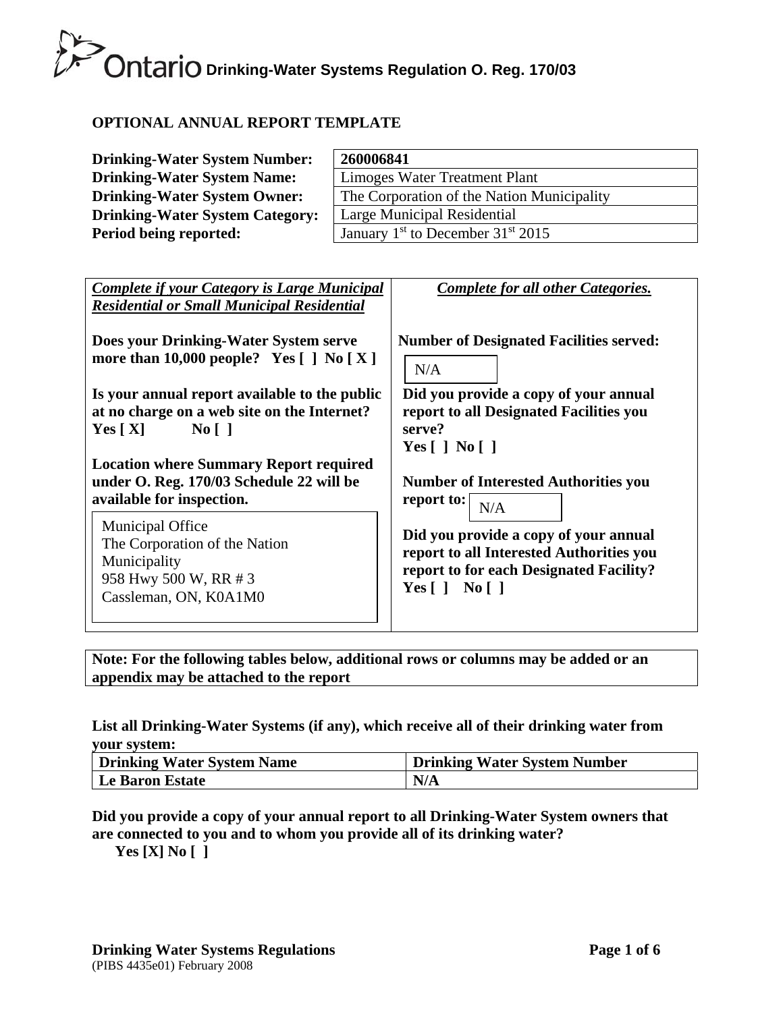### **OPTIONAL ANNUAL REPORT TEMPLATE**

| <b>Drinking-Water System Number:</b>   | 260006841                                       |
|----------------------------------------|-------------------------------------------------|
| <b>Drinking-Water System Name:</b>     | Limoges Water Treatment Plant                   |
| <b>Drinking-Water System Owner:</b>    | The Corporation of the Nation Municipality      |
| <b>Drinking-Water System Category:</b> | Large Municipal Residential                     |
| Period being reported:                 | January $1st$ to December 31 <sup>st</sup> 2015 |

| <b>Complete if your Category is Large Municipal</b><br><b>Residential or Small Municipal Residential</b>                                                                           | Complete for all other Categories.                                                                                                                         |
|------------------------------------------------------------------------------------------------------------------------------------------------------------------------------------|------------------------------------------------------------------------------------------------------------------------------------------------------------|
| Does your Drinking-Water System serve<br>more than 10,000 people? Yes $[ ]$ No $[ X ]$                                                                                             | <b>Number of Designated Facilities served:</b><br>N/A                                                                                                      |
| Is your annual report available to the public<br>at no charge on a web site on the Internet?<br>$\overline{N_0}$    <br>Yes $[X]$<br><b>Location where Summary Report required</b> | Did you provide a copy of your annual<br>report to all Designated Facilities you<br>serve?<br>Yes $\lceil$   No $\lceil$                                   |
| under O. Reg. 170/03 Schedule 22 will be<br>available for inspection.                                                                                                              | <b>Number of Interested Authorities you</b><br>report to: $\lceil$<br>N/A                                                                                  |
| <b>Municipal Office</b><br>The Corporation of the Nation<br>Municipality<br>958 Hwy 500 W, RR # 3<br>Cassleman, ON, K0A1M0                                                         | Did you provide a copy of your annual<br>report to all Interested Authorities you<br>report to for each Designated Facility?<br>Yes $\lceil$   No $\lceil$ |

**Note: For the following tables below, additional rows or columns may be added or an appendix may be attached to the report** 

#### **List all Drinking-Water Systems (if any), which receive all of their drinking water from your system:**

| <b>Drinking Water System Name</b> | <b>Drinking Water System Number</b> |
|-----------------------------------|-------------------------------------|
| Le Baron Estate                   | N/A                                 |

### **Did you provide a copy of your annual report to all Drinking-Water System owners that are connected to you and to whom you provide all of its drinking water?**

**Yes [X] No [ ]**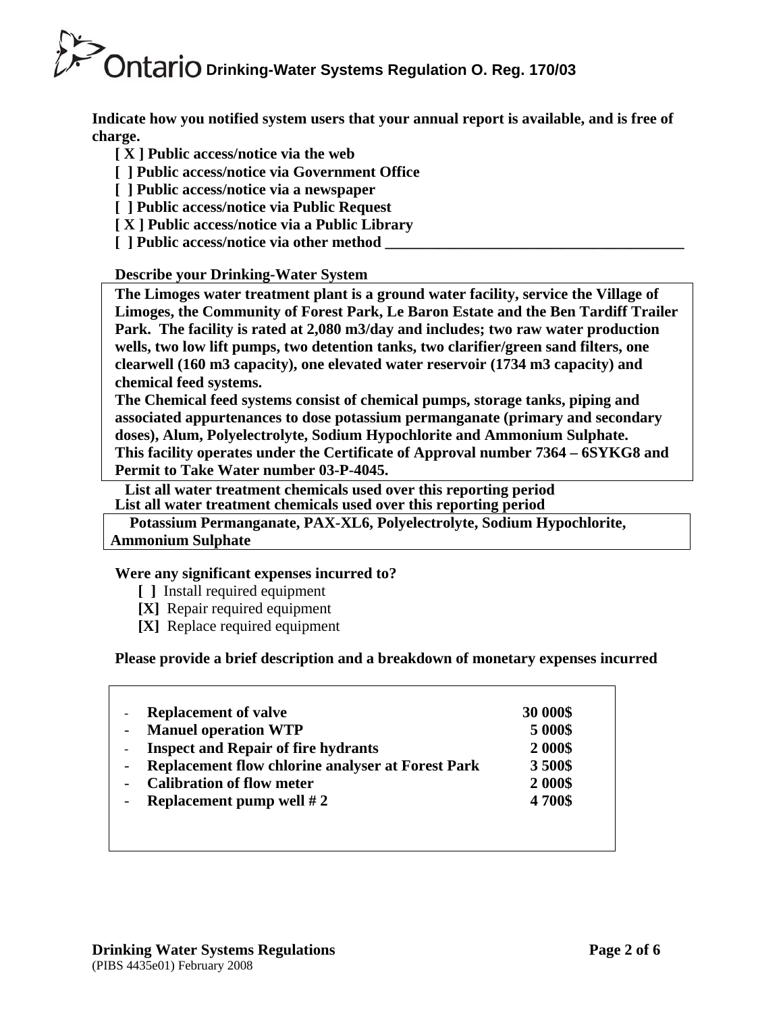**Indicate how you notified system users that your annual report is available, and is free of charge.** 

- **[ X ] Public access/notice via the web**
- **[ ] Public access/notice via Government Office**
- **[ ] Public access/notice via a newspaper**
- **[ ] Public access/notice via Public Request**
- **[ X ] Public access/notice via a Public Library**
- **[** ] Public access/notice via other method

### **Describe your Drinking-Water System**

**The Limoges water treatment plant is a ground water facility, service the Village of Limoges, the Community of Forest Park, Le Baron Estate and the Ben Tardiff Trailer Park. The facility is rated at 2,080 m3/day and includes; two raw water production wells, two low lift pumps, two detention tanks, two clarifier/green sand filters, one clearwell (160 m3 capacity), one elevated water reservoir (1734 m3 capacity) and chemical feed systems.** 

**The Chemical feed systems consist of chemical pumps, storage tanks, piping and associated appurtenances to dose potassium permanganate (primary and secondary doses), Alum, Polyelectrolyte, Sodium Hypochlorite and Ammonium Sulphate. This facility operates under the Certificate of Approval number 7364 – 6SYKG8 and Permit to Take Water number 03-P-4045.** 

 **List all water treatment chemicals used over this reporting period List all water treatment chemicals used over this reporting period** 

 **Potassium Permanganate, PAX-XL6, Polyelectrolyte, Sodium Hypochlorite, Ammonium Sulphate** 

### **Were any significant expenses incurred to?**

- **[ ]** Install required equipment
- **[X]** Repair required equipment
- **[X]** Replace required equipment

### **Please provide a brief description and a breakdown of monetary expenses incurred**

| <b>Replacement of valve</b>                              | 30 000\$ |
|----------------------------------------------------------|----------|
| <b>Manuel operation WTP</b>                              | 5 000\$  |
| <b>Inspect and Repair of fire hydrants</b>               | 2 000\$  |
| <b>Replacement flow chlorine analyser at Forest Park</b> | 3500\$   |
| <b>Calibration of flow meter</b>                         | 2 000\$  |
| Replacement pump well $#2$                               | 4700\$   |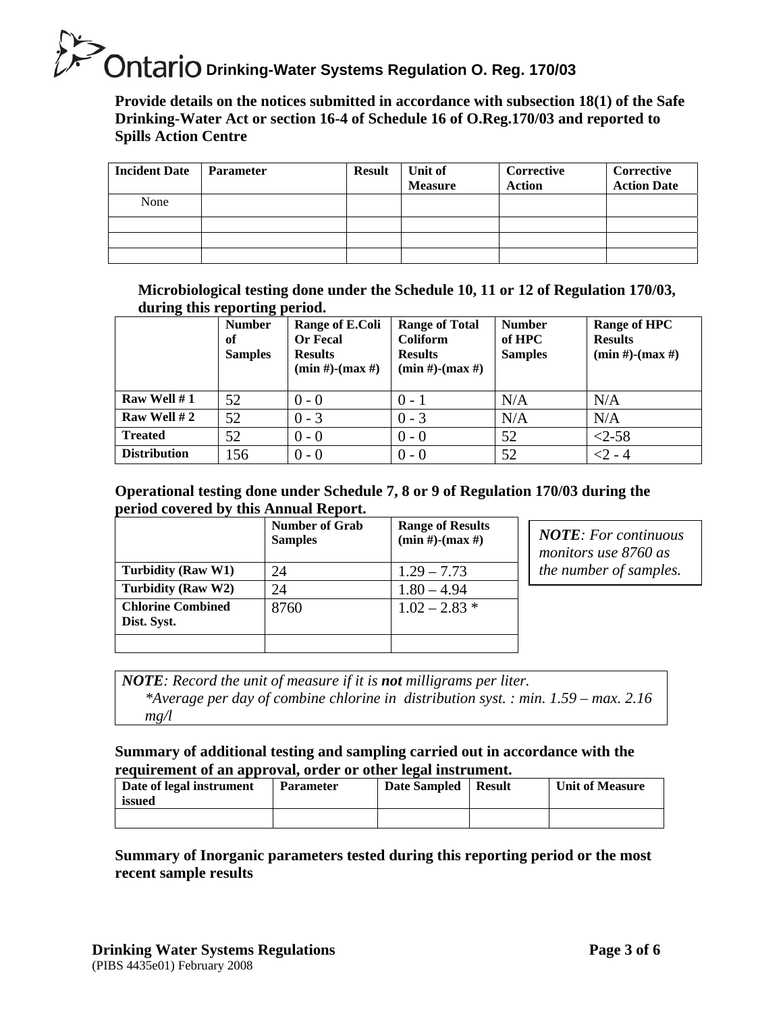**Provide details on the notices submitted in accordance with subsection 18(1) of the Safe Drinking-Water Act or section 16-4 of Schedule 16 of O.Reg.170/03 and reported to Spills Action Centre** 

| <b>Incident Date</b> | <b>Parameter</b> | <b>Result</b> | Unit of<br><b>Measure</b> | <b>Corrective</b><br>Action | Corrective<br><b>Action Date</b> |
|----------------------|------------------|---------------|---------------------------|-----------------------------|----------------------------------|
| None                 |                  |               |                           |                             |                                  |
|                      |                  |               |                           |                             |                                  |
|                      |                  |               |                           |                             |                                  |
|                      |                  |               |                           |                             |                                  |

**Microbiological testing done under the Schedule 10, 11 or 12 of Regulation 170/03, during this reporting period.**

|                     | <b>Number</b><br>of<br><b>Samples</b> | Range of E.Coli<br><b>Or Fecal</b><br><b>Results</b><br>$(min #)$ - $(max #)$ | <b>Range of Total</b><br><b>Coliform</b><br><b>Results</b><br>$(min #)$ - $(max #)$ | <b>Number</b><br>of HPC<br><b>Samples</b> | <b>Range of HPC</b><br><b>Results</b><br>$(min #)-(max #)$ |
|---------------------|---------------------------------------|-------------------------------------------------------------------------------|-------------------------------------------------------------------------------------|-------------------------------------------|------------------------------------------------------------|
| Raw Well $# 1$      | 52                                    | $0 - 0$                                                                       | $0 - 1$                                                                             | N/A                                       | N/A                                                        |
| Raw Well #2         | 52                                    | $0 - 3$                                                                       | $0 - 3$                                                                             | N/A                                       | N/A                                                        |
| <b>Treated</b>      | 52                                    | $0 - 0$                                                                       | $0 - 0$                                                                             | 52                                        | $<2-58$                                                    |
| <b>Distribution</b> | 156                                   | $0 - 0$                                                                       | $0 - 0$                                                                             | 52                                        | $<$ 2 - 4                                                  |

#### **Operational testing done under Schedule 7, 8 or 9 of Regulation 170/03 during the period covered by this Annual Report.**

|                                         | <b>Number of Grab</b><br><b>Samples</b> | <b>Range of Results</b><br>$(min #)$ - $(max #)$ |
|-----------------------------------------|-----------------------------------------|--------------------------------------------------|
| Turbidity (Raw W1)                      | 24                                      | $1.29 - 7.73$                                    |
| Turbidity (Raw W2)                      | 24                                      | $1.80 - 4.94$                                    |
| <b>Chlorine Combined</b><br>Dist. Syst. | 8760                                    | $1.02 - 2.83$ *                                  |
|                                         |                                         |                                                  |

*NOTE: For continuous monitors use 8760 as the number of samples.* 

*NOTE: Record the unit of measure if it is not milligrams per liter. \*Average per day of combine chlorine in distribution syst. : min. 1.59 – max. 2.16*   $mg/l$ 

### **Summary of additional testing and sampling carried out in accordance with the requirement of an approval, order or other legal instrument.**

| Date of legal instrument<br>issued | <b>Parameter</b> | Date Sampled | Result | <b>Unit of Measure</b> |
|------------------------------------|------------------|--------------|--------|------------------------|
|                                    |                  |              |        |                        |

### **Summary of Inorganic parameters tested during this reporting period or the most recent sample results**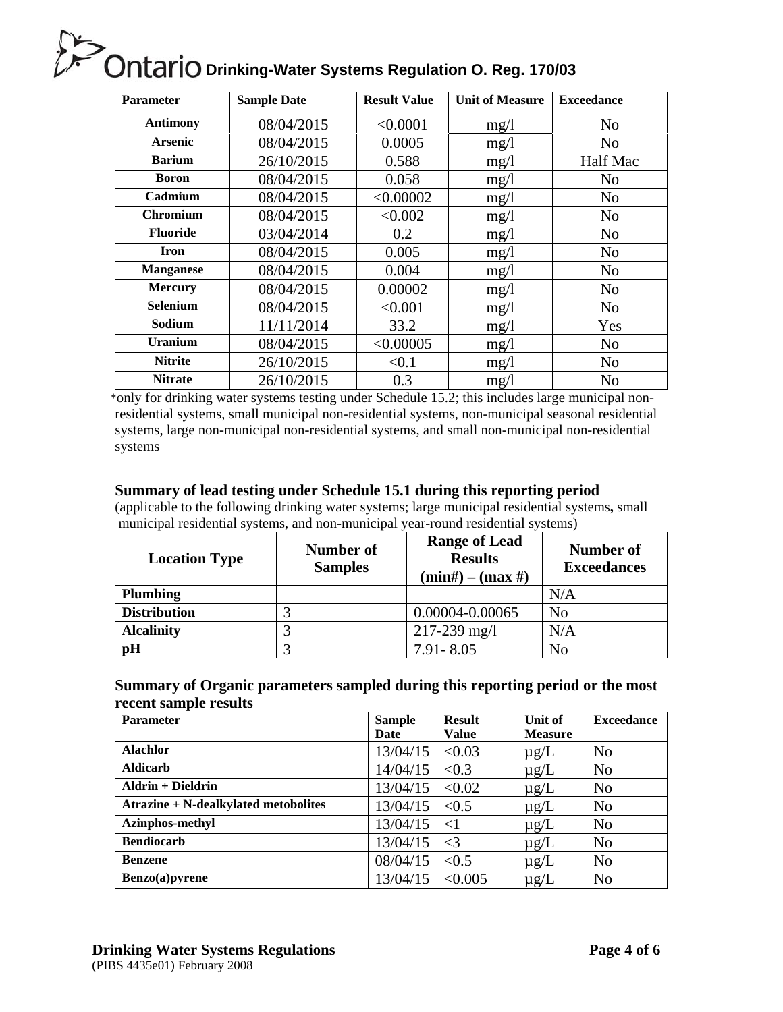| <b>Parameter</b> | <b>Sample Date</b> | <b>Result Value</b> | <b>Unit of Measure</b> | <b>Exceedance</b> |
|------------------|--------------------|---------------------|------------------------|-------------------|
| <b>Antimony</b>  | 08/04/2015         | < 0.0001            | mg/1                   | N <sub>o</sub>    |
| <b>Arsenic</b>   | 08/04/2015         | 0.0005              | mg/1                   | N <sub>o</sub>    |
| <b>Barium</b>    | 26/10/2015         | 0.588               | mg/1                   | Half Mac          |
| <b>Boron</b>     | 08/04/2015         | 0.058               | mg/1                   | N <sub>o</sub>    |
| Cadmium          | 08/04/2015         | < 0.00002           | mg/1                   | N <sub>o</sub>    |
| <b>Chromium</b>  | 08/04/2015         | < 0.002             | mg/1                   | N <sub>o</sub>    |
| <b>Fluoride</b>  | 03/04/2014         | 0.2                 | mg/1                   | N <sub>o</sub>    |
| <b>Iron</b>      | 08/04/2015         | 0.005               | mg/1                   | N <sub>o</sub>    |
| <b>Manganese</b> | 08/04/2015         | 0.004               | mg/1                   | N <sub>o</sub>    |
| <b>Mercury</b>   | 08/04/2015         | 0.00002             | mg/1                   | N <sub>o</sub>    |
| <b>Selenium</b>  | 08/04/2015         | < 0.001             | mg/1                   | N <sub>o</sub>    |
| Sodium           | 11/11/2014         | 33.2                | mg/1                   | Yes               |
| <b>Uranium</b>   | 08/04/2015         | < 0.00005           | mg/1                   | N <sub>o</sub>    |
| <b>Nitrite</b>   | 26/10/2015         | < 0.1               | mg/1                   | N <sub>o</sub>    |
| <b>Nitrate</b>   | 26/10/2015         | 0.3                 | mg/l                   | N <sub>o</sub>    |

\*only for drinking water systems testing under Schedule 15.2; this includes large municipal nonresidential systems, small municipal non-residential systems, non-municipal seasonal residential systems, large non-municipal non-residential systems, and small non-municipal non-residential systems

#### **Summary of lead testing under Schedule 15.1 during this reporting period**

(applicable to the following drinking water systems; large municipal residential systems**,** small municipal residential systems, and non-municipal year-round residential systems)

| <b>Location Type</b> | <b>Number of</b><br><b>Samples</b> | <b>Range of Lead</b><br><b>Results</b><br>$(min\#) - (max\#)$ | Number of<br><b>Exceedances</b> |
|----------------------|------------------------------------|---------------------------------------------------------------|---------------------------------|
| <b>Plumbing</b>      |                                    |                                                               | N/A                             |
| <b>Distribution</b>  |                                    | 0.00004-0.00065                                               | N <sub>o</sub>                  |
| <b>Alcalinity</b>    |                                    | $217 - 239$ mg/l                                              | N/A                             |
| pH                   |                                    | $7.91 - 8.05$                                                 | N <sub>o</sub>                  |

#### **Summary of Organic parameters sampled during this reporting period or the most recent sample results**

| <b>Parameter</b>                            | <b>Sample</b> | <b>Result</b> | Unit of        | <b>Exceedance</b> |
|---------------------------------------------|---------------|---------------|----------------|-------------------|
|                                             | Date          | <b>Value</b>  | <b>Measure</b> |                   |
| <b>Alachlor</b>                             | 13/04/15      | < 0.03        | $\mu$ g/L      | N <sub>o</sub>    |
| <b>Aldicarb</b>                             | 14/04/15      | < 0.3         | $\mu$ g/L      | N <sub>o</sub>    |
| <b>Aldrin + Dieldrin</b>                    | 13/04/15      | < 0.02        | $\mu$ g/L      | No                |
| <b>Atrazine + N-dealkylated metobolites</b> | 13/04/15      | < 0.5         | $\mu$ g/L      | N <sub>o</sub>    |
| <b>Azinphos-methyl</b>                      | 13/04/15      | $<$ 1         | $\mu$ g/L      | N <sub>o</sub>    |
| <b>Bendiocarb</b>                           | 13/04/15      | $\leq$ 3      | $\mu$ g/L      | N <sub>o</sub>    |
| <b>Benzene</b>                              | 08/04/15      | < 0.5         | $\mu$ g/L      | N <sub>o</sub>    |
| Benzo(a)pyrene                              | 13/04/15      | < 0.005       | $\mu$ g/L      | N <sub>o</sub>    |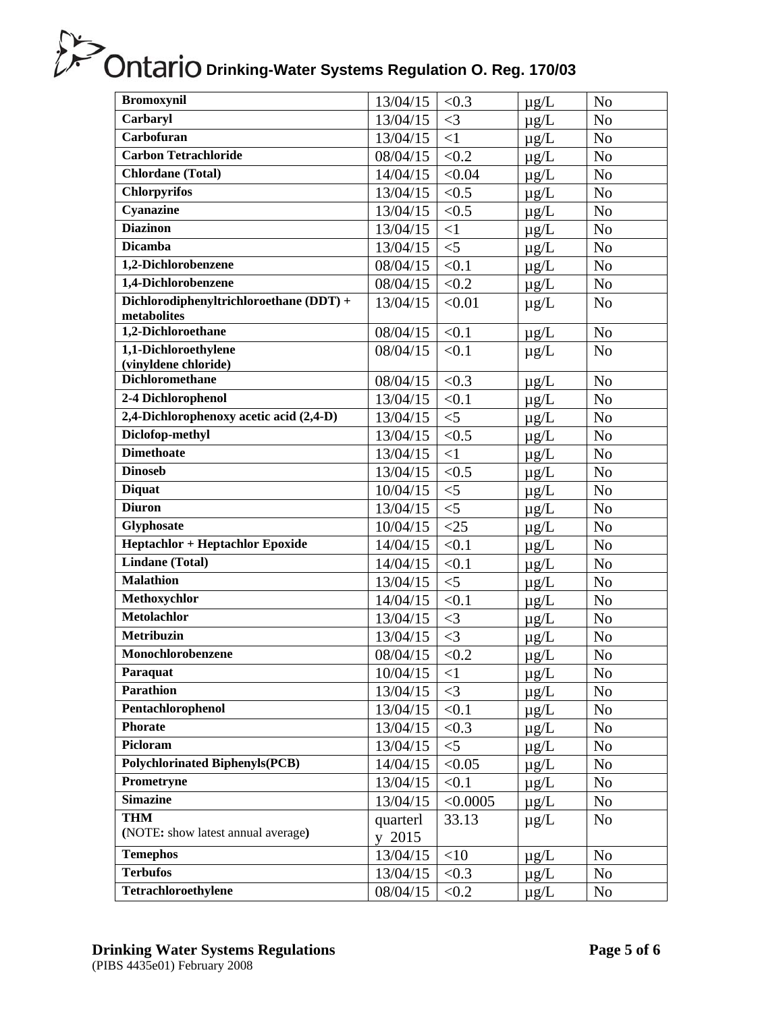| <b>Bromoxynil</b>                                          | 13/04/15           | < 0.3    | $\mu$ g/L | N <sub>o</sub> |
|------------------------------------------------------------|--------------------|----------|-----------|----------------|
| Carbaryl                                                   | 13/04/15           | $\leq$ 3 | $\mu$ g/L | N <sub>o</sub> |
| Carbofuran                                                 | 13/04/15           | <1       | $\mu$ g/L | N <sub>o</sub> |
| <b>Carbon Tetrachloride</b>                                | 08/04/15           | < 0.2    | $\mu$ g/L | N <sub>o</sub> |
| <b>Chlordane</b> (Total)                                   | 14/04/15           | < 0.04   | $\mu g/L$ | N <sub>o</sub> |
| <b>Chlorpyrifos</b>                                        | 13/04/15           | < 0.5    | $\mu$ g/L | N <sub>o</sub> |
| Cyanazine                                                  | 13/04/15           | < 0.5    | $\mu$ g/L | N <sub>o</sub> |
| <b>Diazinon</b>                                            | 13/04/15           | $\leq$ 1 | $\mu$ g/L | N <sub>o</sub> |
| <b>Dicamba</b>                                             | 13/04/15           | $<$ 5    | $\mu$ g/L | N <sub>o</sub> |
| 1,2-Dichlorobenzene                                        | 08/04/15           | < 0.1    | $\mu$ g/L | N <sub>o</sub> |
| 1,4-Dichlorobenzene                                        | 08/04/15           | < 0.2    | $\mu$ g/L | N <sub>o</sub> |
| Dichlorodiphenyltrichloroethane (DDT) +<br>metabolites     | 13/04/15           | < 0.01   | $\mu g/L$ | N <sub>o</sub> |
| 1,2-Dichloroethane                                         | 08/04/15           | < 0.1    | $\mu$ g/L | N <sub>o</sub> |
| 1,1-Dichloroethylene                                       | 08/04/15           | < 0.1    | $\mu$ g/L | N <sub>o</sub> |
| (vinyldene chloride)<br><b>Dichloromethane</b>             |                    |          |           |                |
|                                                            | 08/04/15           | < 0.3    | $\mu g/L$ | N <sub>o</sub> |
| 2-4 Dichlorophenol                                         | 13/04/15           | < 0.1    | $\mu$ g/L | N <sub>o</sub> |
| 2,4-Dichlorophenoxy acetic acid (2,4-D)<br>Diclofop-methyl | 13/04/15           | $<$ 5    | $\mu$ g/L | N <sub>o</sub> |
| <b>Dimethoate</b>                                          | 13/04/15           | < 0.5    | $\mu$ g/L | N <sub>o</sub> |
|                                                            | 13/04/15           | <1       | $\mu$ g/L | N <sub>o</sub> |
| <b>Dinoseb</b>                                             | 13/04/15           | < 0.5    | $\mu$ g/L | N <sub>o</sub> |
| <b>Diquat</b>                                              | 10/04/15           | $<$ 5    | $\mu$ g/L | N <sub>o</sub> |
| <b>Diuron</b>                                              | 13/04/15           | $<$ 5    | $\mu$ g/L | N <sub>0</sub> |
| Glyphosate                                                 | 10/04/15           | $<$ 25   | $\mu g/L$ | N <sub>o</sub> |
| <b>Heptachlor + Heptachlor Epoxide</b>                     | 14/04/15           | < 0.1    | $\mu g/L$ | N <sub>o</sub> |
| <b>Lindane</b> (Total)                                     | 14/04/15           | < 0.1    | $\mu$ g/L | N <sub>o</sub> |
| <b>Malathion</b>                                           | 13/04/15           | $<$ 5    | $\mu$ g/L | N <sub>o</sub> |
| Methoxychlor                                               | 14/04/15           | < 0.1    | $\mu$ g/L | N <sub>o</sub> |
| <b>Metolachlor</b>                                         | 13/04/15           | $\leq$ 3 | $\mu g/L$ | N <sub>o</sub> |
| <b>Metribuzin</b>                                          | 13/04/15           | $\leq$ 3 | $\mu g/L$ | N <sub>o</sub> |
| Monochlorobenzene                                          | 08/04/15           | < 0.2    | $\mu$ g/L | N <sub>o</sub> |
| Paraquat                                                   | 10/04/15           | $\leq$ 1 | $\mu g/L$ | N <sub>o</sub> |
| <b>Parathion</b>                                           | 13/04/15           | $\leq$ 3 | $\mu$ g/L | N <sub>o</sub> |
| Pentachlorophenol                                          | 13/04/15           | < 0.1    | $\mu$ g/L | N <sub>o</sub> |
| <b>Phorate</b>                                             | 13/04/15           | < 0.3    | $\mu$ g/L | N <sub>o</sub> |
| Picloram                                                   | 13/04/15           | $<$ 5    | $\mu$ g/L | N <sub>o</sub> |
| <b>Polychlorinated Biphenyls (PCB)</b>                     | 14/04/15           | < 0.05   | $\mu$ g/L | N <sub>o</sub> |
| Prometryne                                                 | 13/04/15           | < 0.1    | $\mu$ g/L | N <sub>o</sub> |
| <b>Simazine</b>                                            | 13/04/15           | < 0.0005 | $\mu$ g/L | N <sub>0</sub> |
| <b>THM</b><br>(NOTE: show latest annual average)           | quarterl<br>y 2015 | 33.13    | $\mu$ g/L | N <sub>o</sub> |
| <b>Temephos</b>                                            | 13/04/15           | <10      | $\mu$ g/L | N <sub>o</sub> |
| <b>Terbufos</b>                                            | 13/04/15           | < 0.3    | $\mu$ g/L | N <sub>o</sub> |
| Tetrachloroethylene                                        | 08/04/15           | < 0.2    | $\mu$ g/L | No             |